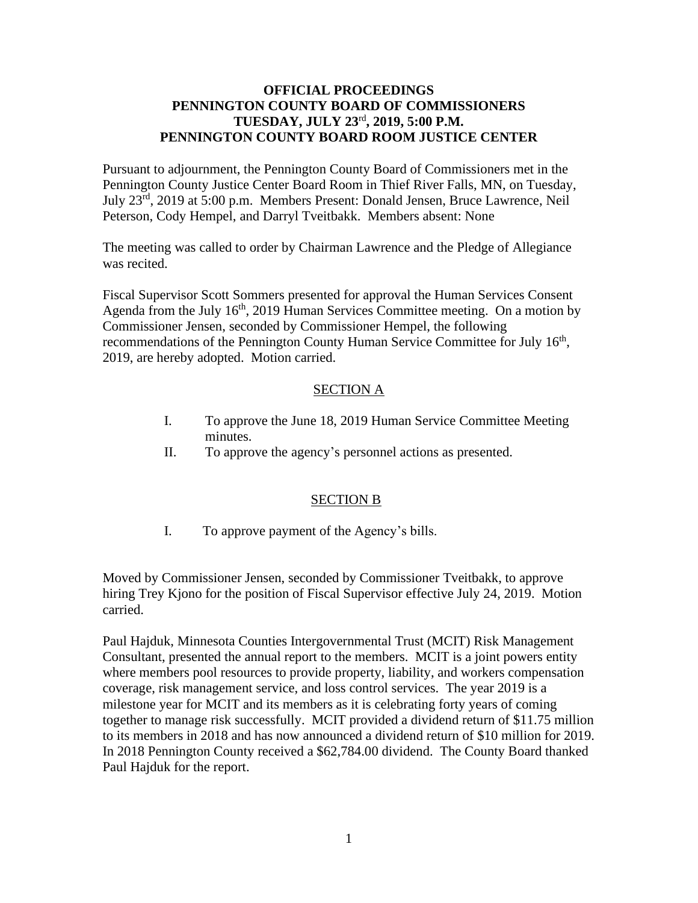## **OFFICIAL PROCEEDINGS PENNINGTON COUNTY BOARD OF COMMISSIONERS TUESDAY, JULY 23** rd **, 2019, 5:00 P.M. PENNINGTON COUNTY BOARD ROOM JUSTICE CENTER**

Pursuant to adjournment, the Pennington County Board of Commissioners met in the Pennington County Justice Center Board Room in Thief River Falls, MN, on Tuesday, July 23<sup>rd</sup>, 2019 at 5:00 p.m. Members Present: Donald Jensen, Bruce Lawrence, Neil Peterson, Cody Hempel, and Darryl Tveitbakk. Members absent: None

The meeting was called to order by Chairman Lawrence and the Pledge of Allegiance was recited.

Fiscal Supervisor Scott Sommers presented for approval the Human Services Consent Agenda from the July 16<sup>th</sup>, 2019 Human Services Committee meeting. On a motion by Commissioner Jensen, seconded by Commissioner Hempel, the following recommendations of the Pennington County Human Service Committee for July 16<sup>th</sup>, 2019, are hereby adopted. Motion carried.

## SECTION A

- I. To approve the June 18, 2019 Human Service Committee Meeting minutes.
- II. To approve the agency's personnel actions as presented.

## SECTION B

I. To approve payment of the Agency's bills.

Moved by Commissioner Jensen, seconded by Commissioner Tveitbakk, to approve hiring Trey Kjono for the position of Fiscal Supervisor effective July 24, 2019. Motion carried.

Paul Hajduk, Minnesota Counties Intergovernmental Trust (MCIT) Risk Management Consultant, presented the annual report to the members. MCIT is a joint powers entity where members pool resources to provide property, liability, and workers compensation coverage, risk management service, and loss control services. The year 2019 is a milestone year for MCIT and its members as it is celebrating forty years of coming together to manage risk successfully. MCIT provided a dividend return of \$11.75 million to its members in 2018 and has now announced a dividend return of \$10 million for 2019. In 2018 Pennington County received a \$62,784.00 dividend. The County Board thanked Paul Hajduk for the report.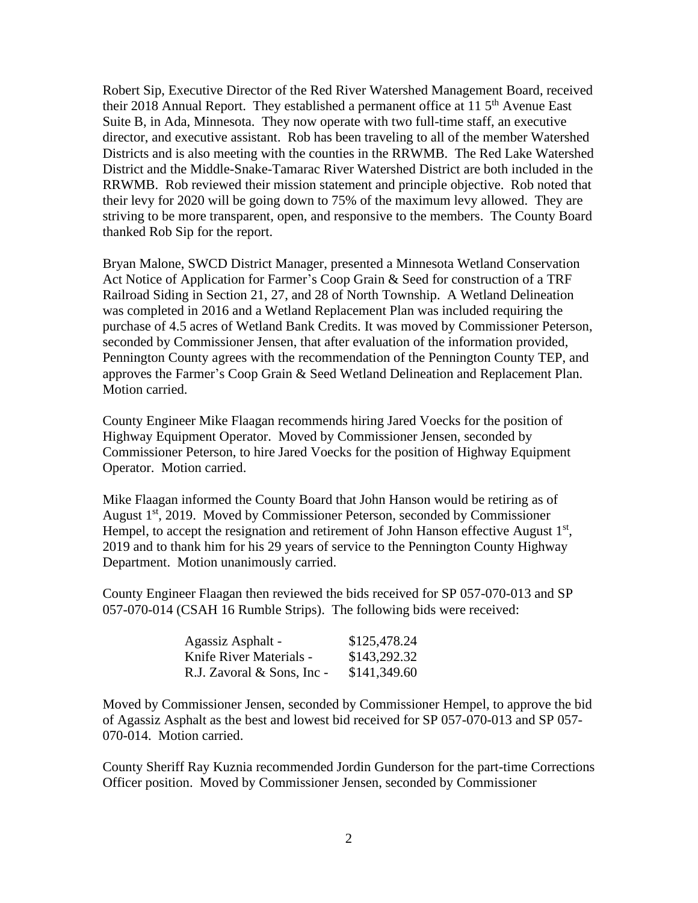Robert Sip, Executive Director of the Red River Watershed Management Board, received their 2018 Annual Report. They established a permanent office at 11 5<sup>th</sup> Avenue East Suite B, in Ada, Minnesota. They now operate with two full-time staff, an executive director, and executive assistant. Rob has been traveling to all of the member Watershed Districts and is also meeting with the counties in the RRWMB. The Red Lake Watershed District and the Middle-Snake-Tamarac River Watershed District are both included in the RRWMB. Rob reviewed their mission statement and principle objective. Rob noted that their levy for 2020 will be going down to 75% of the maximum levy allowed. They are striving to be more transparent, open, and responsive to the members. The County Board thanked Rob Sip for the report.

Bryan Malone, SWCD District Manager, presented a Minnesota Wetland Conservation Act Notice of Application for Farmer's Coop Grain & Seed for construction of a TRF Railroad Siding in Section 21, 27, and 28 of North Township. A Wetland Delineation was completed in 2016 and a Wetland Replacement Plan was included requiring the purchase of 4.5 acres of Wetland Bank Credits. It was moved by Commissioner Peterson, seconded by Commissioner Jensen, that after evaluation of the information provided, Pennington County agrees with the recommendation of the Pennington County TEP, and approves the Farmer's Coop Grain & Seed Wetland Delineation and Replacement Plan. Motion carried.

County Engineer Mike Flaagan recommends hiring Jared Voecks for the position of Highway Equipment Operator. Moved by Commissioner Jensen, seconded by Commissioner Peterson, to hire Jared Voecks for the position of Highway Equipment Operator. Motion carried.

Mike Flaagan informed the County Board that John Hanson would be retiring as of August 1<sup>st</sup>, 2019. Moved by Commissioner Peterson, seconded by Commissioner Hempel, to accept the resignation and retirement of John Hanson effective August  $1<sup>st</sup>$ , 2019 and to thank him for his 29 years of service to the Pennington County Highway Department. Motion unanimously carried.

County Engineer Flaagan then reviewed the bids received for SP 057-070-013 and SP 057-070-014 (CSAH 16 Rumble Strips). The following bids were received:

| Agassiz Asphalt -          | \$125,478.24 |
|----------------------------|--------------|
| Knife River Materials -    | \$143,292.32 |
| R.J. Zavoral & Sons, Inc - | \$141,349.60 |

Moved by Commissioner Jensen, seconded by Commissioner Hempel, to approve the bid of Agassiz Asphalt as the best and lowest bid received for SP 057-070-013 and SP 057- 070-014. Motion carried.

County Sheriff Ray Kuznia recommended Jordin Gunderson for the part-time Corrections Officer position. Moved by Commissioner Jensen, seconded by Commissioner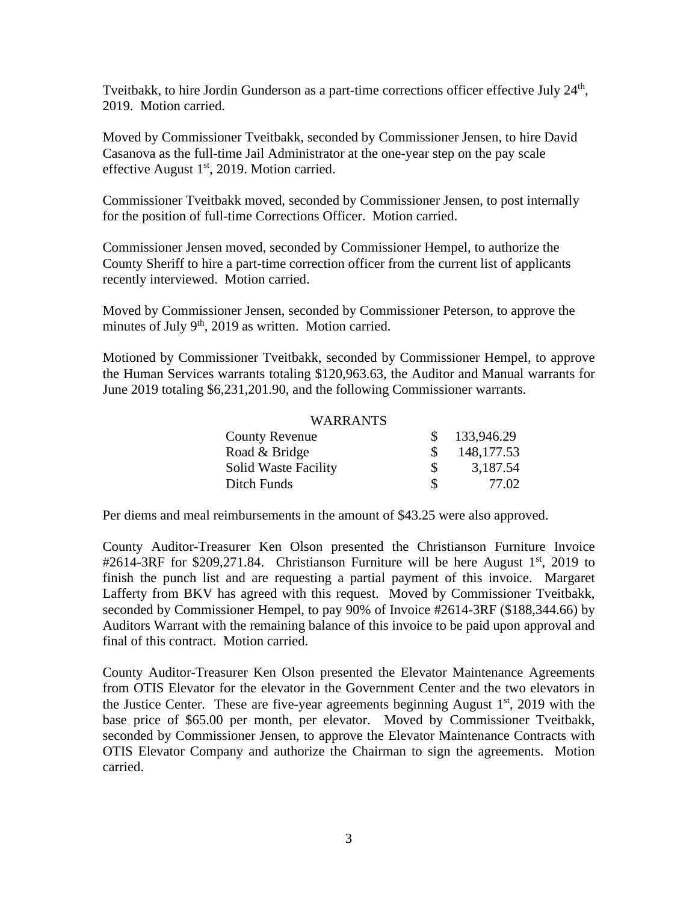Tveitbakk, to hire Jordin Gunderson as a part-time corrections officer effective July 24<sup>th</sup>, 2019. Motion carried.

Moved by Commissioner Tveitbakk, seconded by Commissioner Jensen, to hire David Casanova as the full-time Jail Administrator at the one-year step on the pay scale effective August 1<sup>st</sup>, 2019. Motion carried.

Commissioner Tveitbakk moved, seconded by Commissioner Jensen, to post internally for the position of full-time Corrections Officer. Motion carried.

Commissioner Jensen moved, seconded by Commissioner Hempel, to authorize the County Sheriff to hire a part-time correction officer from the current list of applicants recently interviewed. Motion carried.

Moved by Commissioner Jensen, seconded by Commissioner Peterson, to approve the minutes of July 9<sup>th</sup>, 2019 as written. Motion carried.

Motioned by Commissioner Tveitbakk, seconded by Commissioner Hempel, to approve the Human Services warrants totaling \$120,963.63, the Auditor and Manual warrants for June 2019 totaling \$6,231,201.90, and the following Commissioner warrants.

## WARRANTS

| <b>County Revenue</b>       | \$133,946.29 |
|-----------------------------|--------------|
| Road & Bridge               | 148, 177.53  |
| <b>Solid Waste Facility</b> | 3,187.54     |
| Ditch Funds                 | 77.02        |

Per diems and meal reimbursements in the amount of \$43.25 were also approved.

County Auditor-Treasurer Ken Olson presented the Christianson Furniture Invoice #2614-3RF for  $$209,271.84$ . Christianson Furniture will be here August 1<sup>st</sup>, 2019 to finish the punch list and are requesting a partial payment of this invoice. Margaret Lafferty from BKV has agreed with this request. Moved by Commissioner Tveitbakk, seconded by Commissioner Hempel, to pay 90% of Invoice #2614-3RF (\$188,344.66) by Auditors Warrant with the remaining balance of this invoice to be paid upon approval and final of this contract. Motion carried.

County Auditor-Treasurer Ken Olson presented the Elevator Maintenance Agreements from OTIS Elevator for the elevator in the Government Center and the two elevators in the Justice Center. These are five-year agreements beginning August  $1<sup>st</sup>$ , 2019 with the base price of \$65.00 per month, per elevator. Moved by Commissioner Tveitbakk, seconded by Commissioner Jensen, to approve the Elevator Maintenance Contracts with OTIS Elevator Company and authorize the Chairman to sign the agreements. Motion carried.